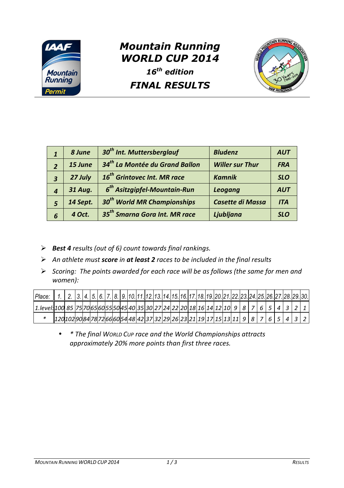

## *Mountain Running WORLD CUP 2014*



*16th edition FINAL RESULTS* 

|                         | 8 June   | 30 <sup>th</sup> Int. Muttersberglauf      | <b>Bludenz</b>         | <b>AUT</b> |
|-------------------------|----------|--------------------------------------------|------------------------|------------|
| $\overline{2}$          | 15 June  | 34 <sup>th</sup> La Montée du Grand Ballon | <b>Willer sur Thur</b> | <b>FRA</b> |
| $\overline{\mathbf{3}}$ | 27 July  | 16 <sup>th</sup> Grintovec Int. MR race    | <b>Kamnik</b>          | <b>SLO</b> |
| $\overline{4}$          | 31 Aug.  | 6 <sup>th</sup> Asitzgipfel-Mountain-Run   | <b>Leogang</b>         | <b>AUT</b> |
| 5                       | 14 Sept. | 30 <sup>th</sup> World MR Championships    | Casette di Massa       | <b>ITA</b> |
| 6                       | 4 Oct.   | 35 <sup>th</sup> Smarna Gora Int. MR race  | Ljubljana              | <b>SLO</b> |

- *Best 4 results (out of 6) count towards final rankings.*
- *An athlete must score in at least 2 races to be included in the final results*
- *Scoring: The points awarded for each race will be as follows (the same for men and women):*

| Place:                                                                                                |                                                                                                        | 2. 3. 4. 5. 6. 7. 8. 9. 10. 11. 12. 13. 14. 15. 16. 17. 18. 19. 20. 21. 22. 23. 24. 25. 26. 27. 28. 29. 30. |  |  |  |  |  |  |  |  |  |  |  |  |  |  |
|-------------------------------------------------------------------------------------------------------|--------------------------------------------------------------------------------------------------------|-------------------------------------------------------------------------------------------------------------|--|--|--|--|--|--|--|--|--|--|--|--|--|--|
| 1.1eve1  100  85  75  70  65  60  55  50  45  40  35  30  27  24  22  20  18  16  9  8  7  6  5  4  3 |                                                                                                        |                                                                                                             |  |  |  |  |  |  |  |  |  |  |  |  |  |  |
|                                                                                                       | $\parallel$ 120102908478 72 66 60 54 48 42 37 32 29 26 23 21 19 17 15 13 11  9   8   7   6   5   4   3 |                                                                                                             |  |  |  |  |  |  |  |  |  |  |  |  |  |  |

• *\* The final WORLD CUP race and the World Championships attracts approximately 20% more points than first three races.*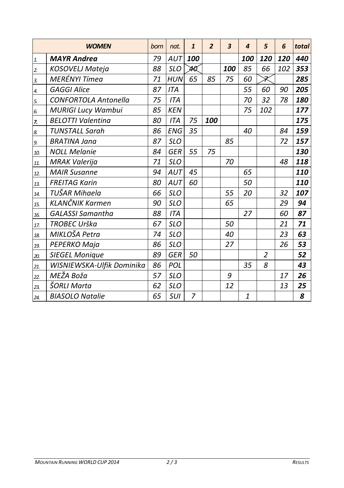|                | <b>WOMEN</b>                | born | nat.       | $\mathbf{1}$ | $\overline{2}$ | $\overline{\mathbf{3}}$ | $\overline{a}$ | 5              | 6   | total |
|----------------|-----------------------------|------|------------|--------------|----------------|-------------------------|----------------|----------------|-----|-------|
| $\mathbf{1}$   | <b>MAYR Andrea</b>          | 79   | AUT        | 100          |                |                         | 100            | 120            | 120 | 440   |
| $\overline{c}$ | KOSOVELJ Mateja             | 88   | <b>SLO</b> | 4Q           |                | 100                     | 85             | 66             | 102 | 353   |
| 3.             | <b>MERÉNYI Tímea</b>        | 71   | <b>HUN</b> | 65           | 85             | 75                      | 60             |                |     | 285   |
| 4.             | <b>GAGGI Alice</b>          | 87   | <b>ITA</b> |              |                |                         | 55             | 60             | 90  | 205   |
| 5.             | <b>CONFORTOLA Antonella</b> | 75   | <b>ITA</b> |              |                |                         | 70             | 32             | 78  | 180   |
| 6.             | <b>MURIGI Lucy Wambui</b>   | 85   | <b>KEN</b> |              |                |                         | 75             | 102            |     | 177   |
| 7.             | <b>BELOTTI Valentina</b>    | 80   | <b>ITA</b> | 75           | 100            |                         |                |                |     | 175   |
| 8.             | <b>TUNSTALL Sarah</b>       | 86   | <b>ENG</b> | 35           |                |                         | 40             |                | 84  | 159   |
| 9.             | <b>BRATINA Jana</b>         | 87   | <b>SLO</b> |              |                | 85                      |                |                | 72  | 157   |
| 10.            | <b>NOLL Melanie</b>         | 84   | <b>GER</b> | 55           | 75             |                         |                |                |     | 130   |
| 11.            | <b>MRAK Valerija</b>        | 71   | <b>SLO</b> |              |                | 70                      |                |                | 48  | 118   |
| 12.            | <b>MAIR Susanne</b>         | 94   | AUT        | 45           |                |                         | 65             |                |     | 110   |
| 13.            | <b>FREITAG Karin</b>        | 80   | AUT        | 60           |                |                         | 50             |                |     | 110   |
| 14.            | TUŠAR Mihaela               | 66   | <b>SLO</b> |              |                | 55                      | 20             |                | 32  | 107   |
| 15.            | <b>KLANČNIK Karmen</b>      | 90   | <b>SLO</b> |              |                | 65                      |                |                | 29  | 94    |
| 16.            | <b>GALASSI Samantha</b>     | 88   | <b>ITA</b> |              |                |                         | 27             |                | 60  | 87    |
| 17.            | TROBEC Urška                | 67   | <b>SLO</b> |              |                | 50                      |                |                | 21  | 71    |
| 18.            | MIKLOŠA Petra               | 74   | <b>SLO</b> |              |                | 40                      |                |                | 23  | 63    |
| 19.            | PEPERKO Maja                | 86   | SLO        |              |                | 27                      |                |                | 26  | 53    |
| 20.            | <b>SIEGEL Monique</b>       | 89   | <b>GER</b> | 50           |                |                         |                | $\overline{2}$ |     | 52    |
| 21.            | WISNIEWSKA-Ulfik Dominika   | 86   | <b>POL</b> |              |                |                         | 35             | 8              |     | 43    |
| 22.            | MEŽA Boža                   | 57   | <b>SLO</b> |              |                | 9                       |                |                | 17  | 26    |
| 23.            | ŠORLI Marta                 | 62   | <b>SLO</b> |              |                | 12                      |                |                | 13  | 25    |
| 24.            | <b>BIASOLO Natalie</b>      | 65   | <b>SUI</b> | 7            |                |                         | $\mathbf{1}$   |                |     | 8     |